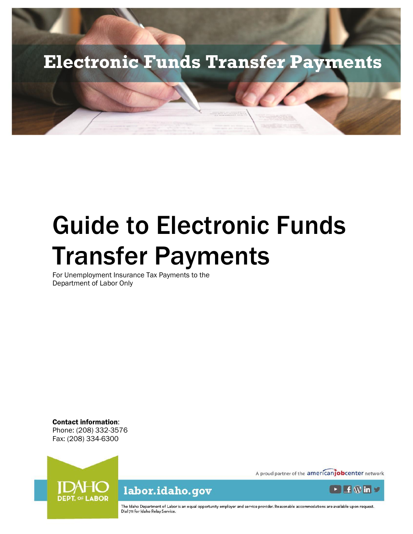

# Guide to Electronic Funds Transfer Payments

For Unemployment Insurance Tax Payments to the Department of Labor Only

Contact information: Phone: (208) 332-3576 Fax: (208) 334-6300



A proud partner of the americanjobcenter network



The Idaho Department of Labor is an equal opportunity employer and service provider. Reasonable accommodations are available upon request.<br>Dial 711 for Idaho Relay Service.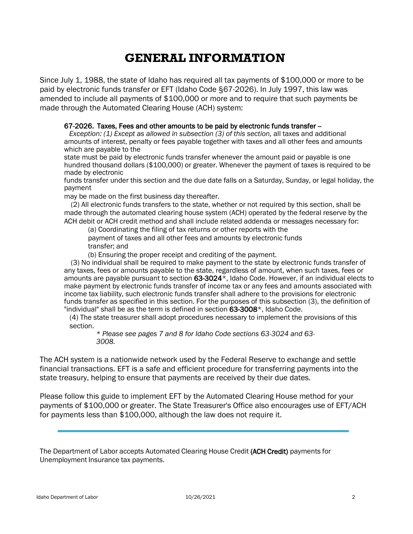## **GENERAL INFORMATION**

Since July 1, 1988, the state of Idaho has required all tax payments of \$100,000 or more to be paid by electronic funds transfer or EFT (Idaho Code §67-2026). In July 1997, this law was amended to include all payments of \$100,000 or more and to require that such payments be made through the Automated Clearing House (ACH) system:

#### 67-2026. Taxes, Fees and other amounts to be paid by electronic funds transfer --

*Exception: (1) Except as allowed in subsection (3) of this section,* all taxes and additional amounts of interest, penalty or fees payable together with taxes and all other fees and amounts which are payable to the

state must be paid by electronic funds transfer whenever the amount paid or payable is one hundred thousand dollars (\$100,000) or greater. Whenever the payment of taxes is required to be made by electronic

funds transfer under this section and the due date falls on a Saturday, Sunday, or legal holiday, the payment

may be made on the first business day thereafter.

(2) All electronic funds transfers to the state, whether or not required by this section, shall be made through the automated clearing house system (ACH) operated by the federal reserve by the ACH debit or ACH credit method and shall include related addenda or messages necessary for:

(a) Coordinating the filing of tax returns or other reports with the payment of taxes and all other fees and amounts by electronic funds transfer; and

(b) Ensuring the proper receipt and crediting of the payment.

(3) No individual shall be required to make payment to the state by electronic funds transfer of any taxes, fees or amounts payable to the state, regardless of amount, when such taxes, fees or amounts are payable pursuant to section  $63-3024^{\frac{1}{x}}$ , Idaho Code. However, if an individual elects to make payment by electronic funds transfer of income tax or any fees and amounts associated with income tax liability, such electronic funds transfer shall adhere to the provisions for electronic funds transfer as specified in this section. For the purposes of this subsection (3), the definition of "individual" shall be as the term is defined in section 63-3008\*, Idaho Code.

(4) The state treasurer shall adopt procedures necessary to implement the provisions of this section.

*\* Please see pages 7 and 8 for Idaho Code sections 63-3024 and 63- 3008.*

The ACH system is a nationwide network used by the Federal Reserve to exchange and settle financial transactions. EFT is a safe and efficient procedure for transferring payments into the state treasury, helping to ensure that payments are received by their due dates.

Please follow this guide to implement EFT by the Automated Clearing House method for your payments of \$100,000 or greater. The State Treasurer's Office also encourages use of EFT/ACH for payments less than \$100,000, although the law does not require it.

The Department of Labor accepts Automated Clearing House Credit (ACH Credit) payments for Unemployment Insurance tax payments.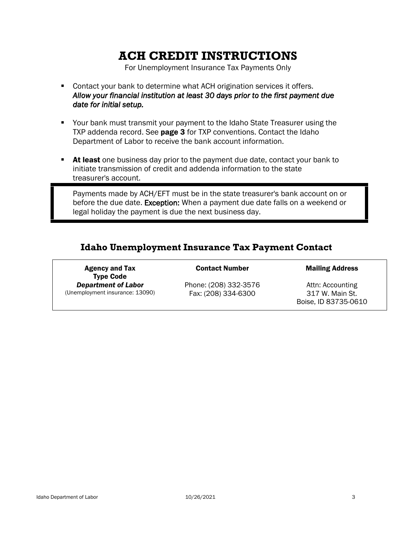## **ACH CREDIT INSTRUCTIONS**

For Unemployment Insurance Tax Payments Only

- Contact your bank to determine what ACH origination services it offers. *Allow your financial institution at least 30 days prior to the first payment due date for initial setup.*
- Your bank must transmit your payment to the Idaho State Treasurer using the TXP addenda record. See page 3 for TXP conventions. Contact the Idaho Department of Labor to receive the bank account information.
- **EXECT** At least one business day prior to the payment due date, contact your bank to initiate transmission of credit and addenda information to the state treasurer's account.

Payments made by ACH/EFT must be in the state treasurer's bank account on or before the due date. Exception: When a payment due date falls on a weekend or legal holiday the payment is due the next business day.

#### **Idaho Unemployment Insurance Tax Payment Contact**

Agency and Tax Type Code *Department of Labor* (Unemployment insurance: 13090)

Phone: (208) 332-3576 Fax: (208) 334-6300

**Contact Number Mailing Address** 

Attn: Accounting 317 W. Main St. Boise, ID 83735-0610